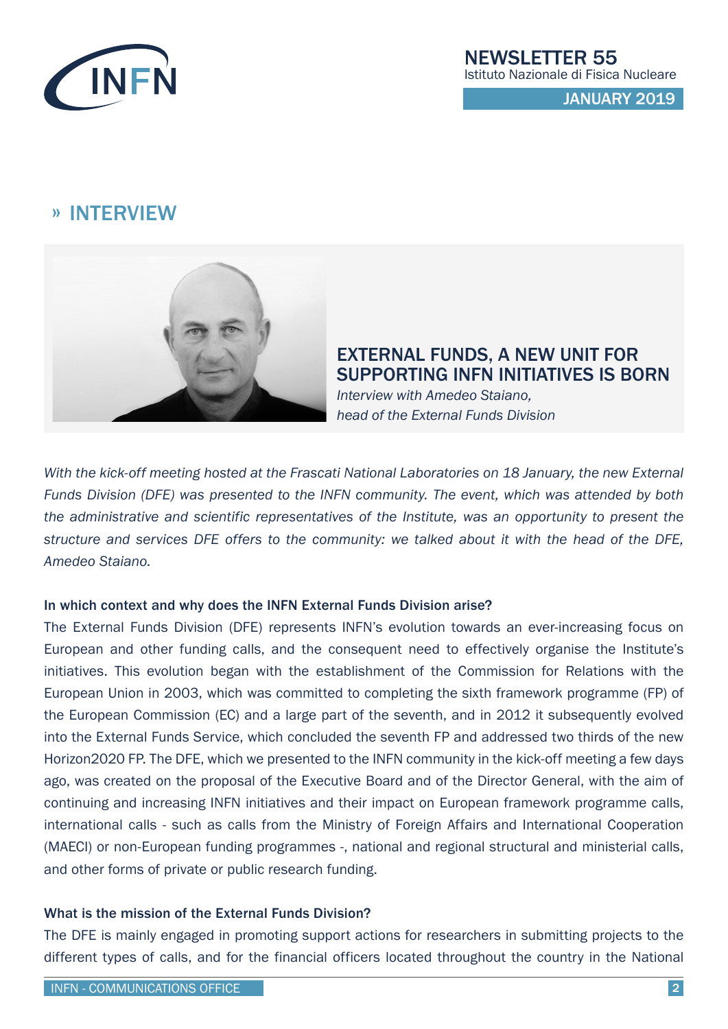

## » INTERVIEW



EXTERNAL FUNDS, A NEW UNIT FOR SUPPORTING INFN INITIATIVES IS BORN *Interview with Amedeo Staiano,* 

*head of the External Funds Division*

*With the kick-off meeting hosted at the Frascati National Laboratories on 18 January, the new External Funds Division (DFE) was presented to the INFN community. The event, which was attended by both the administrative and scientific representatives of the Institute, was an opportunity to present the structure and services DFE offers to the community: we talked about it with the head of the DFE, Amedeo Staiano.*

### In which context and why does the INFN External Funds Division arise?

The External Funds Division (DFE) represents INFN's evolution towards an ever-increasing focus on European and other funding calls, and the consequent need to effectively organise the Institute's initiatives. This evolution began with the establishment of the Commission for Relations with the European Union in 2003, which was committed to completing the sixth framework programme (FP) of the European Commission (EC) and a large part of the seventh, and in 2012 it subsequently evolved into the External Funds Service, which concluded the seventh FP and addressed two thirds of the new Horizon2020 FP. The DFE, which we presented to the INFN community in the kick-off meeting a few days ago, was created on the proposal of the Executive Board and of the Director General, with the aim of continuing and increasing INFN initiatives and their impact on European framework programme calls, international calls - such as calls from the Ministry of Foreign Affairs and International Cooperation (MAECI) or non-European funding programmes -, national and regional structural and ministerial calls, and other forms of private or public research funding.

### What is the mission of the External Funds Division?

The DFE is mainly engaged in promoting support actions for researchers in submitting projects to the different types of calls, and for the financial officers located throughout the country in the National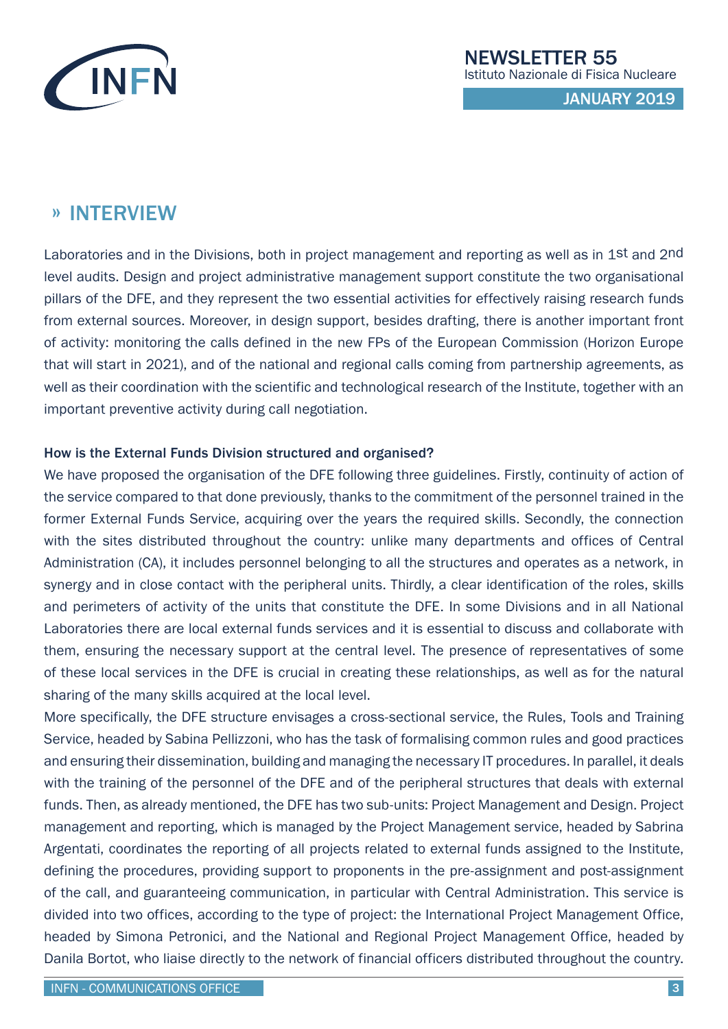

## » INTERVIEW

Laboratories and in the Divisions, both in project management and reporting as well as in 1st and 2nd level audits. Design and project administrative management support constitute the two organisational pillars of the DFE, and they represent the two essential activities for effectively raising research funds from external sources. Moreover, in design support, besides drafting, there is another important front of activity: monitoring the calls defined in the new FPs of the European Commission (Horizon Europe that will start in 2021), and of the national and regional calls coming from partnership agreements, as well as their coordination with the scientific and technological research of the Institute, together with an important preventive activity during call negotiation.

### How is the External Funds Division structured and organised?

We have proposed the organisation of the DFE following three guidelines. Firstly, continuity of action of the service compared to that done previously, thanks to the commitment of the personnel trained in the former External Funds Service, acquiring over the years the required skills. Secondly, the connection with the sites distributed throughout the country: unlike many departments and offices of Central Administration (CA), it includes personnel belonging to all the structures and operates as a network, in synergy and in close contact with the peripheral units. Thirdly, a clear identification of the roles, skills and perimeters of activity of the units that constitute the DFE. In some Divisions and in all National Laboratories there are local external funds services and it is essential to discuss and collaborate with them, ensuring the necessary support at the central level. The presence of representatives of some of these local services in the DFE is crucial in creating these relationships, as well as for the natural sharing of the many skills acquired at the local level.

More specifically, the DFE structure envisages a cross-sectional service, the Rules, Tools and Training Service, headed by Sabina Pellizzoni, who has the task of formalising common rules and good practices and ensuring their dissemination, building and managing the necessary IT procedures. In parallel, it deals with the training of the personnel of the DFE and of the peripheral structures that deals with external funds. Then, as already mentioned, the DFE has two sub-units: Project Management and Design. Project management and reporting, which is managed by the Project Management service, headed by Sabrina Argentati, coordinates the reporting of all projects related to external funds assigned to the Institute, defining the procedures, providing support to proponents in the pre-assignment and post-assignment of the call, and guaranteeing communication, in particular with Central Administration. This service is divided into two offices, according to the type of project: the International Project Management Office, headed by Simona Petronici, and the National and Regional Project Management Office, headed by Danila Bortot, who liaise directly to the network of financial officers distributed throughout the country.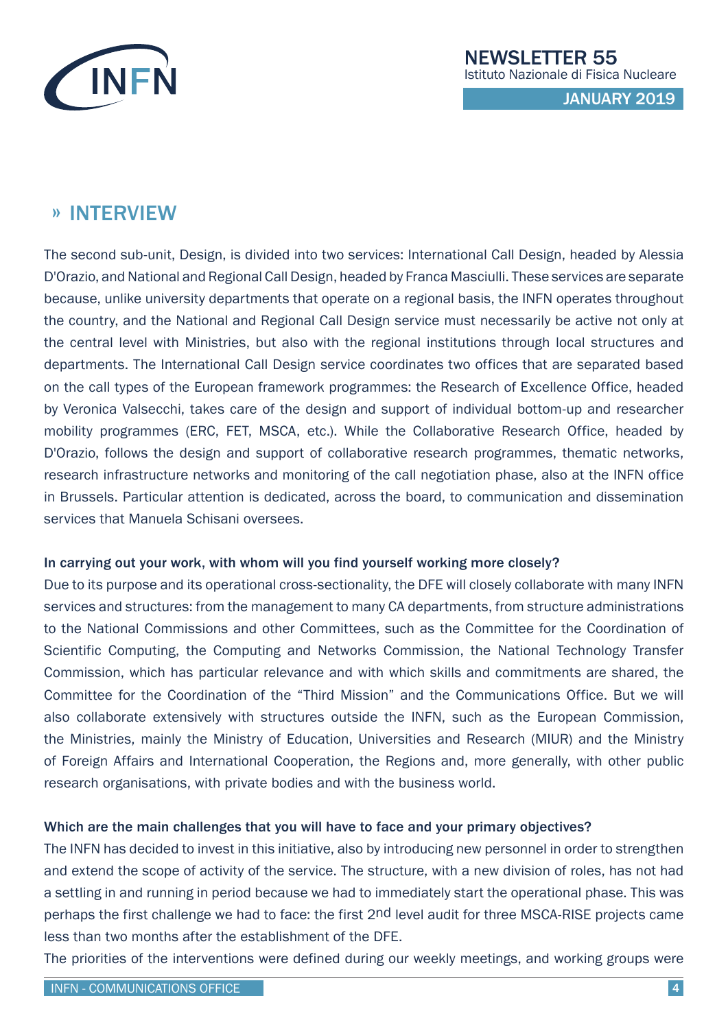

## » INTERVIEW

The second sub-unit, Design, is divided into two services: International Call Design, headed by Alessia D'Orazio, and National and Regional Call Design, headed by Franca Masciulli. These services are separate because, unlike university departments that operate on a regional basis, the INFN operates throughout the country, and the National and Regional Call Design service must necessarily be active not only at the central level with Ministries, but also with the regional institutions through local structures and departments. The International Call Design service coordinates two offices that are separated based on the call types of the European framework programmes: the Research of Excellence Office, headed by Veronica Valsecchi, takes care of the design and support of individual bottom-up and researcher mobility programmes (ERC, FET, MSCA, etc.). While the Collaborative Research Office, headed by D'Orazio, follows the design and support of collaborative research programmes, thematic networks, research infrastructure networks and monitoring of the call negotiation phase, also at the INFN office in Brussels. Particular attention is dedicated, across the board, to communication and dissemination services that Manuela Schisani oversees.

### In carrying out your work, with whom will you find yourself working more closely?

Due to its purpose and its operational cross-sectionality, the DFE will closely collaborate with many INFN services and structures: from the management to many CA departments, from structure administrations to the National Commissions and other Committees, such as the Committee for the Coordination of Scientific Computing, the Computing and Networks Commission, the National Technology Transfer Commission, which has particular relevance and with which skills and commitments are shared, the Committee for the Coordination of the "Third Mission" and the Communications Office. But we will also collaborate extensively with structures outside the INFN, such as the European Commission, the Ministries, mainly the Ministry of Education, Universities and Research (MIUR) and the Ministry of Foreign Affairs and International Cooperation, the Regions and, more generally, with other public research organisations, with private bodies and with the business world.

### Which are the main challenges that you will have to face and your primary objectives?

The INFN has decided to invest in this initiative, also by introducing new personnel in order to strengthen and extend the scope of activity of the service. The structure, with a new division of roles, has not had a settling in and running in period because we had to immediately start the operational phase. This was perhaps the first challenge we had to face: the first 2nd level audit for three MSCA-RISE projects came less than two months after the establishment of the DFE.

The priorities of the interventions were defined during our weekly meetings, and working groups were